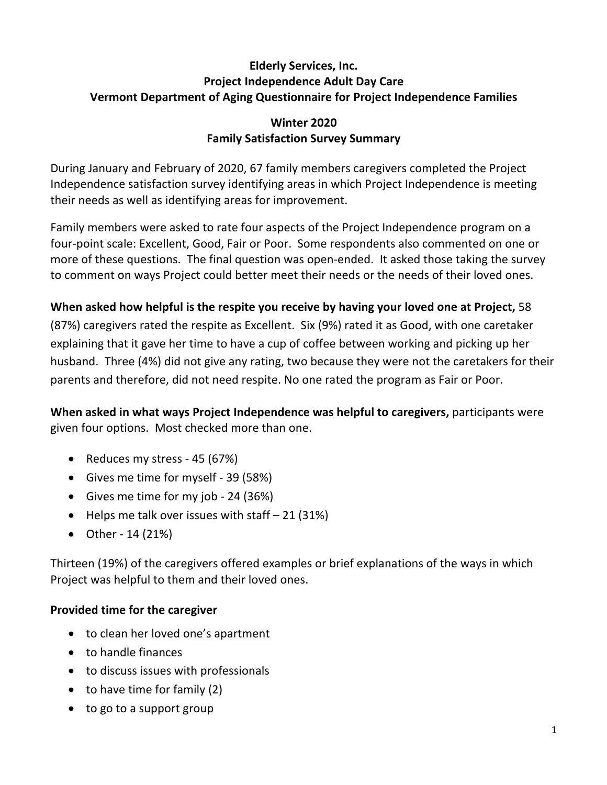# **Elderly Services, Inc. Project Independence Adult Day Care Vermont Department of Aging Questionnaire for Project Independence Families**

# **Winter 2020 Family Satisfaction Survey Summary**

During January and February of 2020, 67 family members caregivers completed the Project Independence satisfaction survey identifying areas in which Project Independence is meeting their needs as well as identifying areas for improvement.

Family members were asked to rate four aspects of the Project Independence program on a four-point scale: Excellent, Good, Fair or Poor. Some respondents also commented on one or more of these questions. The final question was open-ended. It asked those taking the survey to comment on ways Project could better meet their needs or the needs of their loved ones.

# **When asked how helpful is the respite you receive by having your loved one at Project,** 58 (87%) caregivers rated the respite as Excellent. Six (9%) rated it as Good, with one caretaker explaining that it gave her time to have a cup of coffee between working and picking up her husband. Three (4%) did not give any rating, two because they were not the caretakers for their parents and therefore, did not need respite. No one rated the program as Fair or Poor.

**When asked in what ways Project Independence was helpful to caregivers,** participants were given four options. Most checked more than one.

- Reduces my stress 45 (67%)
- Gives me time for myself 39 (58%)
- Gives me time for my job 24 (36%)
- Helps me talk over issues with staff  $-21$  (31%)
- Other 14 (21%)

Thirteen (19%) of the caregivers offered examples or brief explanations of the ways in which Project was helpful to them and their loved ones.

# **Provided time for the caregiver**

- to clean her loved one's apartment
- to handle finances
- to discuss issues with professionals
- to have time for family (2)
- to go to a support group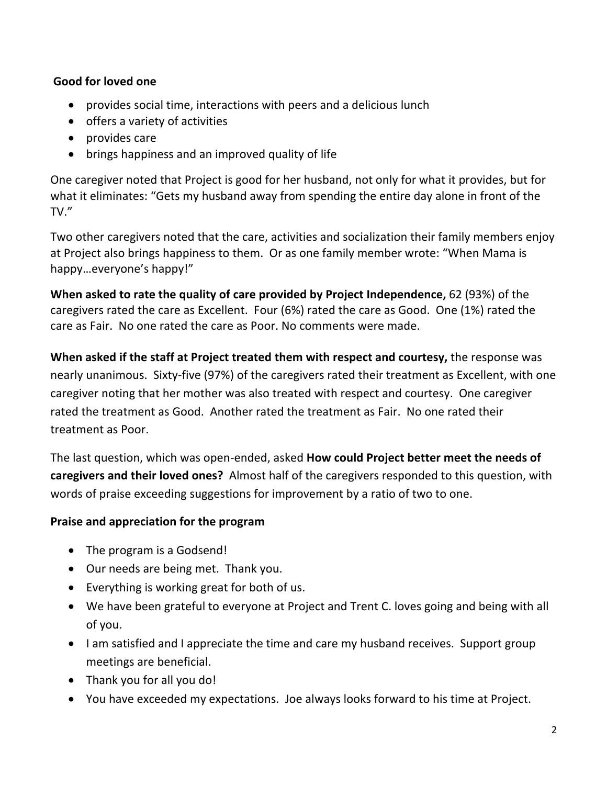## **Good for loved one**

- provides social time, interactions with peers and a delicious lunch
- offers a variety of activities
- provides care
- brings happiness and an improved quality of life

One caregiver noted that Project is good for her husband, not only for what it provides, but for what it eliminates: "Gets my husband away from spending the entire day alone in front of the TV."

Two other caregivers noted that the care, activities and socialization their family members enjoy at Project also brings happiness to them. Or as one family member wrote: "When Mama is happy…everyone's happy!"

**When asked to rate the quality of care provided by Project Independence,** 62 (93%) of the caregivers rated the care as Excellent. Four (6%) rated the care as Good. One (1%) rated the care as Fair. No one rated the care as Poor. No comments were made.

**When asked if the staff at Project treated them with respect and courtesy,** the response was nearly unanimous. Sixty-five (97%) of the caregivers rated their treatment as Excellent, with one caregiver noting that her mother was also treated with respect and courtesy. One caregiver rated the treatment as Good. Another rated the treatment as Fair. No one rated their treatment as Poor.

The last question, which was open-ended, asked **How could Project better meet the needs of caregivers and their loved ones?** Almost half of the caregivers responded to this question, with words of praise exceeding suggestions for improvement by a ratio of two to one.

# **Praise and appreciation for the program**

- The program is a Godsend!
- Our needs are being met. Thank you.
- Everything is working great for both of us.
- We have been grateful to everyone at Project and Trent C. loves going and being with all of you.
- I am satisfied and I appreciate the time and care my husband receives. Support group meetings are beneficial.
- Thank you for all you do!
- You have exceeded my expectations. Joe always looks forward to his time at Project.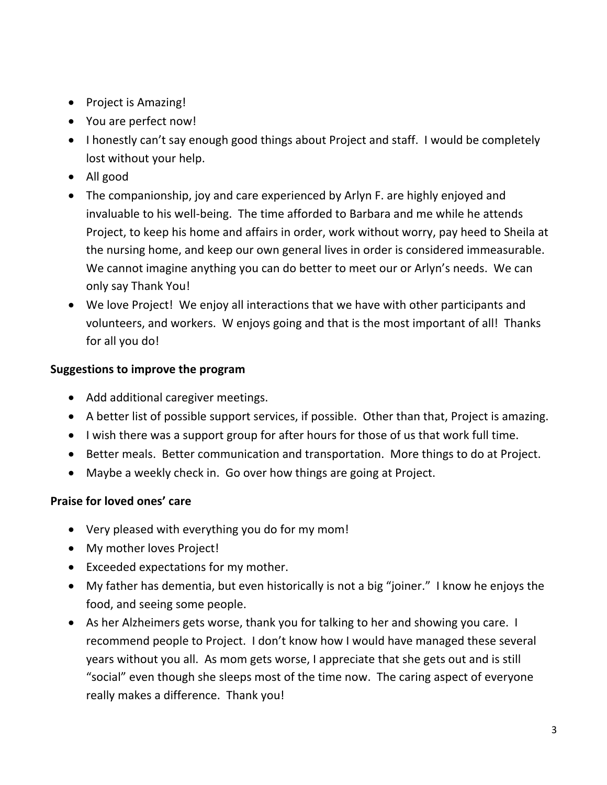- Project is Amazing!
- You are perfect now!
- I honestly can't say enough good things about Project and staff. I would be completely lost without your help.
- All good
- The companionship, joy and care experienced by Arlyn F. are highly enjoyed and invaluable to his well-being. The time afforded to Barbara and me while he attends Project, to keep his home and affairs in order, work without worry, pay heed to Sheila at the nursing home, and keep our own general lives in order is considered immeasurable. We cannot imagine anything you can do better to meet our or Arlyn's needs. We can only say Thank You!
- We love Project! We enjoy all interactions that we have with other participants and volunteers, and workers. W enjoys going and that is the most important of all! Thanks for all you do!

## **Suggestions to improve the program**

- Add additional caregiver meetings.
- A better list of possible support services, if possible. Other than that, Project is amazing.
- I wish there was a support group for after hours for those of us that work full time.
- Better meals. Better communication and transportation. More things to do at Project.
- Maybe a weekly check in. Go over how things are going at Project.

#### **Praise for loved ones' care**

- Very pleased with everything you do for my mom!
- My mother loves Project!
- Exceeded expectations for my mother.
- My father has dementia, but even historically is not a big "joiner." I know he enjoys the food, and seeing some people.
- As her Alzheimers gets worse, thank you for talking to her and showing you care. I recommend people to Project. I don't know how I would have managed these several years without you all. As mom gets worse, I appreciate that she gets out and is still "social" even though she sleeps most of the time now. The caring aspect of everyone really makes a difference. Thank you!